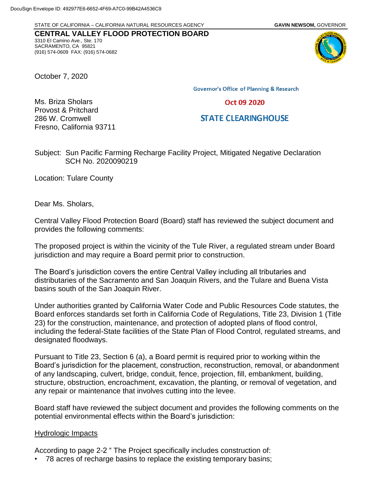STATE OF CALIFORNIA – CALIFORNIA NATURAL RESOURCES AGENCY **GAVIN NEWSOM,** GOVERNOR

**CENTRAL VALLEY FLOOD PROTECTION BOARD** 3310 El Camino Ave., Ste. 170 SACRAMENTO, CA 95821 (916) 574-0609 FAX: (916) 574-0682

October 7, 2020

Ms. Briza Sholars Provost & Pritchard 286 W. Cromwell

**Governor's Office of Planning & Research** 

Oct 09 2020

## **STATE CLEARINGHOUSE**

Subject: Sun Pacific Farming Recharge Facility Project, Mitigated Negative Declaration SCH No. 2020090219

Location: Tulare County

Fresno, California 93711

Dear Ms. Sholars,

Central Valley Flood Protection Board (Board) staff has reviewed the subject document and provides the following comments:

The proposed project is within the vicinity of the Tule River, a regulated stream under Board jurisdiction and may require a Board permit prior to construction.

The Board's jurisdiction covers the entire Central Valley including all tributaries and distributaries of the Sacramento and San Joaquin Rivers, and the Tulare and Buena Vista basins south of the San Joaquin River.

Under authorities granted by California Water Code and Public Resources Code statutes, the Board enforces standards set forth in California Code of Regulations, Title 23, Division 1 (Title 23) for the construction, maintenance, and protection of adopted plans of flood control, including the federal-State facilities of the State Plan of Flood Control, regulated streams, and designated floodways.

Pursuant to Title 23, Section 6 (a), a Board permit is required prior to working within the Board's jurisdiction for the placement, construction, reconstruction, removal, or abandonment of any landscaping, culvert, bridge, conduit, fence, projection, fill, embankment, building, structure, obstruction, encroachment, excavation, the planting, or removal of vegetation, and any repair or maintenance that involves cutting into the levee.

Board staff have reviewed the subject document and provides the following comments on the potential environmental effects within the Board's jurisdiction:

## Hydrologic Impacts

According to page 2-2 " The Project specifically includes construction of:

• 78 acres of recharge basins to replace the existing temporary basins;